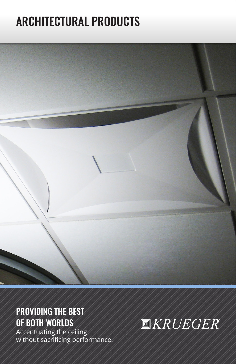# ARCHITECTURAL PRODUCTS



# PROVIDING THE BEST OF BOTH WORLDS

Accentuating the ceiling without sacrificing performance.